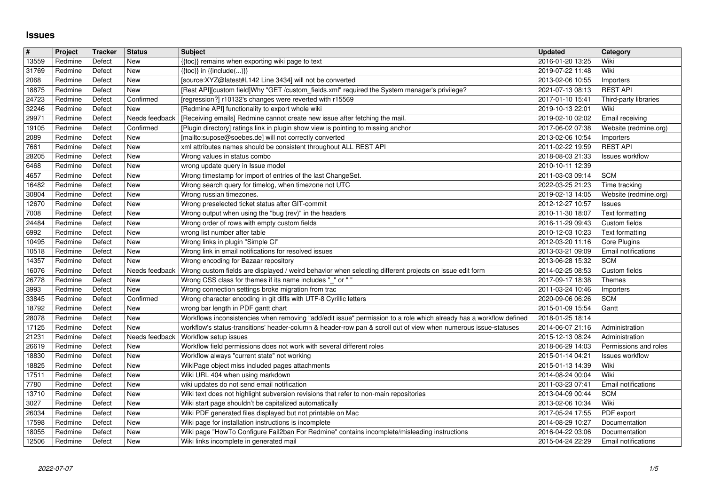## **Issues**

| #<br>13559     | Project<br>Redmine | Tracker<br>Defect | <b>Status</b><br>New        | <b>Subject</b>                                                                                                                                                                                                                        | <b>Updated</b><br>2016-01-20 13:25   | Category<br>Wiki                          |
|----------------|--------------------|-------------------|-----------------------------|---------------------------------------------------------------------------------------------------------------------------------------------------------------------------------------------------------------------------------------|--------------------------------------|-------------------------------------------|
| 31769          | Redmine            | Defect            | New                         | {{toc}} remains when exporting wiki page to text<br>{{toc}} in {{include()}}                                                                                                                                                          | 2019-07-22 11:48                     | Wiki                                      |
| 2068           | Redmine            | Defect            | New<br><b>New</b>           | [source:XYZ@latest#L142 Line 3434] will not be converted<br>[Rest API][custom field]Why "GET /custom_fields.xml" required the System manager's privilege?                                                                             | 2013-02-06 10:55                     | Importers<br><b>REST API</b>              |
| 18875<br>24723 | Redmine<br>Redmine | Defect<br>Defect  | Confirmed                   | [regression?] r10132's changes were reverted with r15569                                                                                                                                                                              | 2021-07-13 08:13<br>2017-01-10 15:41 | Third-party libraries                     |
| 32246          | Redmine            | Defect            | New                         | [Redmine API] functionality to export whole wiki                                                                                                                                                                                      | 2019-10-13 22:01                     | Wiki                                      |
| 29971<br>19105 | Redmine<br>Redmine | Defect<br>Defect  | Needs feedback<br>Confirmed | [Receiving emails] Redmine cannot create new issue after fetching the mail.<br>[Plugin directory] ratings link in plugin show view is pointing to missing anchor                                                                      | 2019-02-10 02:02<br>2017-06-02 07:38 | Email receiving<br>Website (redmine.org)  |
| 2089           | Redmine            | Defect            | New                         | [mailto:supose@soebes.de] will not correctly converted                                                                                                                                                                                | 2013-02-06 10:54                     | Importers                                 |
| 7661<br>28205  | Redmine<br>Redmine | Defect<br>Defect  | New<br>New                  | xml attributes names should be consistent throughout ALL REST API<br>Wrong values in status combo                                                                                                                                     | 2011-02-22 19:59<br>2018-08-03 21:33 | <b>REST API</b><br><b>Issues workflow</b> |
| 6468           | Redmine            | Defect            | New                         | wrong update query in Issue model                                                                                                                                                                                                     | 2010-10-11 12:39                     |                                           |
| 4657<br>16482  | Redmine<br>Redmine | Defect<br>Defect  | New<br>New                  | Wrong timestamp for import of entries of the last ChangeSet.<br>Wrong search query for timelog, when timezone not UTC                                                                                                                 | 2011-03-03 09:14<br>2022-03-25 21:23 | <b>SCM</b><br>Time tracking               |
| 30804          | Redmine            | Defect            | New                         | Wrong russian timezones.                                                                                                                                                                                                              | 2019-02-13 14:05                     | Website (redmine.org)                     |
| 12670<br>7008  | Redmine<br>Redmine | Defect<br>Defect  | New<br>New                  | Wrong preselected ticket status after GIT-commit<br>Wrong output when using the "bug (rev)" in the headers                                                                                                                            | 2012-12-27 10:57<br>2010-11-30 18:07 | Issues<br><b>Text formatting</b>          |
| 24484          | Redmine            | Defect            | New                         | Wrong order of rows with empty custom fields                                                                                                                                                                                          | 2016-11-29 09:43                     | Custom fields                             |
| 6992<br>10495  | Redmine<br>Redmine | Defect<br>Defect  | New<br><b>New</b>           | wrong list number after table<br>Wrong links in plugin "Simple CI"                                                                                                                                                                    | 2010-12-03 10:23<br>2012-03-20 11:16 | Text formatting<br>Core Plugins           |
| 10518          | Redmine            | Defect            | New                         | Wrong link in email notifications for resolved issues                                                                                                                                                                                 | 2013-03-21 09:09                     | Email notifications                       |
| 14357<br>16076 | Redmine<br>Redmine | Defect<br>Defect  | New<br>Needs feedback       | Wrong encoding for Bazaar repository<br>Wrong custom fields are displayed / weird behavior when selecting different projects on issue edit form                                                                                       | 2013-06-28 15:32<br>2014-02-25 08:53 | <b>SCM</b><br>Custom fields               |
| 26778          | Redmine            | Defect            | New                         | Wrong CSS class for themes if its name includes "_" or ""                                                                                                                                                                             | 2017-09-17 18:38                     | Themes                                    |
| 3993<br>33845  | Redmine<br>Redmine | Defect<br>Defect  | New<br>Confirmed            | Wrong connection settings broke migration from trac<br>Wrong character encoding in git diffs with UTF-8 Cyrillic letters                                                                                                              | 2011-03-24 10:46<br>2020-09-06 06:26 | Importers<br><b>SCM</b>                   |
| 18792          | Redmine            | Defect            | New                         | wrong bar length in PDF gantt chart                                                                                                                                                                                                   | 2015-01-09 15:54                     | Gantt                                     |
| 28078<br>17125 | Redmine<br>Redmine | Defect<br>Defect  | New<br>New                  | Workflows inconsistencies when removing "add/edit issue" permission to a role which already has a workflow defined<br>workflow's status-transitions' header-column & header-row pan & scroll out of view when numerous issue-statuses | 2018-01-25 18:14<br>2014-06-07 21:16 | Administration                            |
| 21231          | Redmine            | Defect            | Needs feedback              | <b>Workflow setup issues</b>                                                                                                                                                                                                          | 2015-12-13 08:24                     | Administration                            |
| 26619          | Redmine            | Defect            | New                         | Workflow field permissions does not work with several different roles                                                                                                                                                                 | 2018-06-29 14:03                     | Permissions and roles                     |
| 18830<br>18825 | Redmine<br>Redmine | Defect<br>Defect  | New<br>New                  | Workflow always "current state" not working<br>WikiPage object miss included pages attachments                                                                                                                                        | 2015-01-14 04:21<br>2015-01-13 14:39 | <b>Issues workflow</b><br>Wiki            |
| 17511          | Redmine            | Defect            | New<br>New                  | Wiki URL 404 when using markdown<br>wiki updates do not send email notification                                                                                                                                                       | 2014-08-24 00:04                     | Wiki                                      |
| 7780<br>13710  | Redmine<br>Redmine | Defect<br>Defect  | New                         | Wiki text does not highlight subversion revisions that refer to non-main repositories                                                                                                                                                 | 2011-03-23 07:41<br>2013-04-09 00:44 | Email notifications<br><b>SCM</b>         |
| 3027           | Redmine            | Defect            | New                         | Wiki start page shouldn't be capitalized automatically                                                                                                                                                                                | 2013-02-06 10:34                     | Wiki                                      |
| 26034<br>17598 | Redmine<br>Redmine | Defect<br>Defect  | <b>New</b><br>New           | Wiki PDF generated files displayed but not printable on Mac<br>Wiki page for installation instructions is incomplete                                                                                                                  | 2017-05-24 17:55                     | PDF export                                |
| 18055<br>12506 | Redmine<br>Redmine | Defect<br>Defect  | New<br>New                  | Wiki page "HowTo Configure Fail2ban For Redmine" contains incomplete/misleading instructions<br>Wiki links incomplete in generated mail                                                                                               | 2016-04-22 03:06<br>2015-04-24 22:29 | Documentation<br>Email notifications      |
|                |                    |                   |                             |                                                                                                                                                                                                                                       |                                      |                                           |
|                |                    |                   |                             |                                                                                                                                                                                                                                       |                                      |                                           |
|                |                    |                   |                             |                                                                                                                                                                                                                                       |                                      |                                           |
|                |                    |                   |                             |                                                                                                                                                                                                                                       |                                      |                                           |
|                |                    |                   |                             |                                                                                                                                                                                                                                       |                                      |                                           |
|                |                    |                   |                             |                                                                                                                                                                                                                                       |                                      |                                           |
|                |                    |                   |                             |                                                                                                                                                                                                                                       |                                      |                                           |
|                |                    |                   |                             |                                                                                                                                                                                                                                       |                                      |                                           |
|                |                    |                   |                             |                                                                                                                                                                                                                                       |                                      |                                           |
|                |                    |                   |                             |                                                                                                                                                                                                                                       |                                      |                                           |
|                |                    |                   |                             |                                                                                                                                                                                                                                       |                                      |                                           |
|                |                    |                   |                             |                                                                                                                                                                                                                                       |                                      |                                           |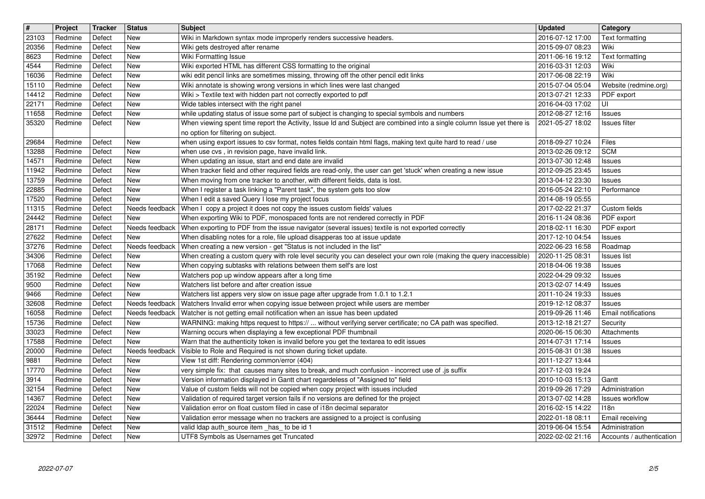| $\sqrt{\frac{4}{15}}$ | Project            | Tracker          | <b>Status</b>                | <b>Subject</b>                                                                                                                                                               | <b>Updated</b>                       | Category                                    |
|-----------------------|--------------------|------------------|------------------------------|------------------------------------------------------------------------------------------------------------------------------------------------------------------------------|--------------------------------------|---------------------------------------------|
| 23103<br>20356        | Redmine<br>Redmine | Defect<br>Defect | New<br><b>New</b>            | Wiki in Markdown syntax mode improperly renders successive headers.<br>Wiki gets destroyed after rename                                                                      | 2016-07-12 17:00<br>2015-09-07 08:23 | Text formatting<br>Wiki                     |
| 8623                  | Redmine            | Defect           | <b>New</b>                   | Wiki Formatting Issue                                                                                                                                                        | 2011-06-16 19:12                     | Text formatting                             |
| 4544<br>16036         | Redmine<br>Redmine | Defect<br>Defect | New<br>New                   | Wiki exported HTML has different CSS formatting to the original<br>wiki edit pencil links are sometimes missing, throwing off the other pencil edit links                    | 2016-03-31 12:03<br>2017-06-08 22:19 | Wiki<br>Wiki                                |
| 15110                 | Redmine            | Defect           | New                          | Wiki annotate is showing wrong versions in which lines were last changed                                                                                                     | 2015-07-04 05:04                     | Website (redmine.org)                       |
| 14412<br>22171        | Redmine<br>Redmine | Defect<br>Defect | New<br>New                   | Wiki > Textile text with hidden part not correctly exported to pdf<br>Wide tables intersect with the right panel                                                             | 2013-07-21 12:33<br>2016-04-03 17:02 | PDF export<br>UI                            |
| 11658                 | Redmine            | Defect           | New                          | while updating status of issue some part of subject is changing to special symbols and numbers                                                                               | 2012-08-27 12:16                     | Issues                                      |
| 35320                 | Redmine            | Defect           | New                          | When viewing spent time report the Activity, Issue Id and Subject are combined into a single column Issue yet there is<br>no option for filtering on subject.                | 2021-05-27 18:02                     | Issues filter                               |
| 29684                 | Redmine            | Defect           | New                          | when using export issues to csv format, notes fields contain html flags, making text quite hard to read / use                                                                | 2018-09-27 10:24                     | Files                                       |
| 13288<br>14571        | Redmine<br>Redmine | Defect<br>Defect | New<br>New                   | when use cvs, in revision page, have invalid link.<br>When updating an issue, start and end date are invalid                                                                 | 2013-02-26 09:12<br>2013-07-30 12:48 | <b>SCM</b><br>Issues                        |
| 11942                 | Redmine            | Defect           | New                          | When tracker field and other required fields are read-only, the user can get 'stuck' when creating a new issue                                                               | 2012-09-25 23:45                     | Issues                                      |
| 13759<br>22885        | Redmine<br>Redmine | Defect<br>Defect | New<br>New                   | When moving from one tracker to another, with different fields, data is lost.<br>When I register a task linking a "Parent task", the system gets too slow                    | 2013-04-12 23:30<br>2016-05-24 22:10 | Issues<br>Performance                       |
| 17520                 | Redmine            | Defect           | New                          | When I edit a saved Query I lose my project focus                                                                                                                            | 2014-08-19 05:55                     |                                             |
| 11315<br>24442        | Redmine<br>Redmine | Defect<br>Defect | Needs feedback<br><b>New</b> | When I copy a project it does not copy the issues custom fields' values<br>When exporting Wiki to PDF, monospaced fonts are not rendered correctly in PDF                    | 2017-02-22 21:37<br>2016-11-24 08:36 | Custom fields<br>PDF export                 |
| 28171                 | Redmine            | Defect           |                              | Needs feedback   When exporting to PDF from the issue navigator (several issues) textile is not exported correctly                                                           | 2018-02-11 16:30                     | PDF export                                  |
| 27622<br>37276        | Redmine<br>Redmine | Defect<br>Defect | <b>New</b><br>Needs feedback | When disabling notes for a role, file upload disapperas too at issue update<br>When creating a new version - get "Status is not included in the list"                        | 2017-12-10 04:54<br>2022-06-23 16:58 | <b>Issues</b><br>Roadmap                    |
| 34306                 | Redmine            | Defect           | New                          | When creating a custom query with role level security you can deselect your own role (making the query inaccessible)                                                         | 2020-11-25 08:31                     | <b>Issues</b> list                          |
| 17068<br>35192        | Redmine<br>Redmine | Defect<br>Defect | New<br>New                   | When copying subtasks with relations between them self's are lost<br>Watchers pop up window appears after a long time                                                        | 2018-04-06 19:38<br>2022-04-29 09:32 | Issues<br>Issues                            |
| 9500                  | Redmine            | Defect           | New                          | Watchers list before and after creation issue                                                                                                                                | 2013-02-07 14:49                     | Issues                                      |
| 9466<br>32608         | Redmine<br>Redmine | Defect<br>Defect | <b>New</b><br>Needs feedback | Watchers list appers very slow on issue page after upgrade from 1.0.1 to 1.2.1<br>Watchers Invalid error when copying issue between project while users are member           | 2011-10-24 19:33<br>2019-12-12 08:37 | Issues<br><b>Issues</b>                     |
| 16058                 | Redmine            | Defect           | Needs feedback               | Watcher is not getting email notification when an issue has been updated                                                                                                     | 2019-09-26 11:46                     | Email notifications                         |
| 15736<br>33023        | Redmine<br>Redmine | Defect<br>Defect | New<br>New                   | WARNING: making https request to https://  without verifying server certificate; no CA path was specified.<br>Warning occurs when displaying a few exceptional PDF thumbnail | 2013-12-18 21:27<br>2020-06-15 06:30 | Security<br>Attachments                     |
| 17588                 | Redmine            | Defect           | New                          | Warn that the authenticity token is invalid before you get the textarea to edit issues                                                                                       | 2014-07-31 17:14                     | <b>Issues</b>                               |
| 20000<br>9881         | Redmine<br>Redmine | Defect<br>Defect | Needs feedback<br>New        | Visible to Role and Required is not shown during ticket update.<br>View 1st diff: Rendering common/error (404)                                                               | 2015-08-31 01:38<br>2011-12-27 13:44 | Issues                                      |
| 17770                 | Redmine            | Defect           | New                          | very simple fix: that causes many sites to break, and much confusion - incorrect use of .js suffix                                                                           | 2017-12-03 19:24                     |                                             |
| 3914<br>32154         | Redmine<br>Redmine | Defect<br>Defect | New<br><b>New</b>            | Version information displayed in Gantt chart regardeless of "Assigned to" field<br>Value of custom fields will not be copied when copy project with issues included          | 2010-10-03 15:13<br>2019-09-26 17:29 | Gantt<br>Administration                     |
| 14367                 | Redmine            | Defect           | New                          | Validation of required target version fails if no versions are defined for the project                                                                                       | 2013-07-02 14:28                     | <b>Issues workflow</b>                      |
| 22024<br>36444        | Redmine<br>Redmine | Defect<br>Defect | New<br>New                   | Validation error on float custom filed in case of i18n decimal separator<br>Validation error message when no trackers are assigned to a project is confusing                 | 2016-02-15 14:22<br>2022-01-18 08:11 | 118n<br>Email receiving                     |
| 31512<br>32972        | Redmine<br>Redmine | Defect<br>Defect | <b>New</b><br><b>New</b>     | valid Idap auth_source item _has_ to be id 1<br>UTF8 Symbols as Usernames get Truncated                                                                                      | 2019-06-04 15:54<br>2022-02-02 21:16 | Administration<br>Accounts / authentication |
|                       |                    |                  |                              |                                                                                                                                                                              |                                      |                                             |
|                       | 2022-07-07         |                  |                              |                                                                                                                                                                              |                                      |                                             |
|                       |                    |                  |                              |                                                                                                                                                                              |                                      |                                             |
|                       |                    |                  |                              |                                                                                                                                                                              |                                      |                                             |
|                       |                    |                  |                              |                                                                                                                                                                              |                                      |                                             |
|                       |                    |                  |                              |                                                                                                                                                                              |                                      |                                             |
|                       |                    |                  |                              |                                                                                                                                                                              |                                      |                                             |
|                       |                    |                  |                              |                                                                                                                                                                              |                                      |                                             |
|                       |                    |                  |                              |                                                                                                                                                                              |                                      |                                             |
|                       |                    |                  |                              |                                                                                                                                                                              |                                      |                                             |
|                       |                    |                  |                              |                                                                                                                                                                              |                                      |                                             |
|                       |                    |                  |                              |                                                                                                                                                                              |                                      |                                             |
|                       |                    |                  |                              |                                                                                                                                                                              |                                      |                                             |
|                       |                    |                  |                              |                                                                                                                                                                              |                                      |                                             |
|                       |                    |                  |                              |                                                                                                                                                                              |                                      |                                             |
|                       |                    |                  |                              |                                                                                                                                                                              |                                      |                                             |
|                       |                    |                  |                              |                                                                                                                                                                              |                                      |                                             |
|                       |                    |                  |                              |                                                                                                                                                                              |                                      |                                             |
|                       |                    |                  |                              |                                                                                                                                                                              |                                      |                                             |
|                       |                    |                  |                              |                                                                                                                                                                              |                                      |                                             |
|                       |                    |                  |                              |                                                                                                                                                                              |                                      |                                             |
|                       |                    |                  |                              |                                                                                                                                                                              |                                      |                                             |
|                       |                    |                  |                              |                                                                                                                                                                              |                                      |                                             |
|                       |                    |                  |                              |                                                                                                                                                                              |                                      |                                             |
|                       |                    |                  |                              |                                                                                                                                                                              |                                      |                                             |
|                       |                    |                  |                              |                                                                                                                                                                              |                                      |                                             |
|                       |                    |                  |                              |                                                                                                                                                                              |                                      |                                             |
|                       |                    |                  |                              |                                                                                                                                                                              |                                      |                                             |
|                       |                    |                  |                              |                                                                                                                                                                              |                                      |                                             |
|                       |                    |                  |                              |                                                                                                                                                                              |                                      |                                             |
|                       |                    |                  |                              |                                                                                                                                                                              |                                      |                                             |
|                       |                    |                  |                              |                                                                                                                                                                              |                                      |                                             |
|                       |                    |                  |                              |                                                                                                                                                                              |                                      |                                             |
|                       |                    |                  |                              |                                                                                                                                                                              |                                      |                                             |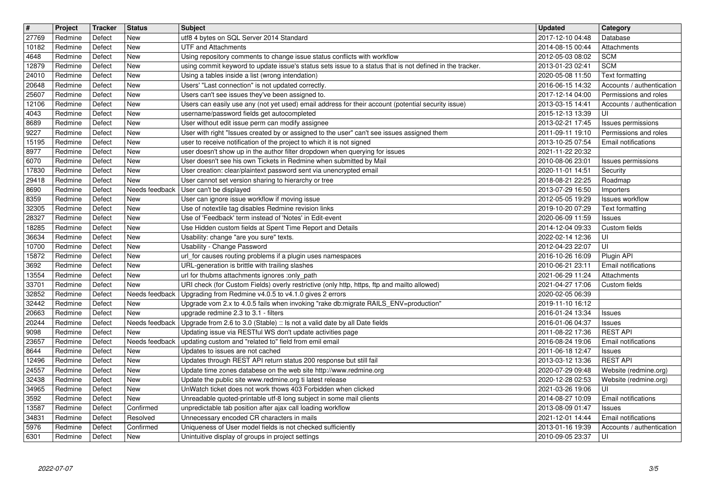| $\sqrt{\frac{4}{15}}$ | Project            | Tracker          | <b>Status</b>                | <b>Subject</b>                                                                                                                                                      | <b>Updated</b>                       | Category                                            |
|-----------------------|--------------------|------------------|------------------------------|---------------------------------------------------------------------------------------------------------------------------------------------------------------------|--------------------------------------|-----------------------------------------------------|
| 27769<br>10182        | Redmine<br>Redmine | Defect<br>Defect | New<br><b>New</b>            | utf8 4 bytes on SQL Server 2014 Standard<br><b>UTF and Attachments</b>                                                                                              | 2017-12-10 04:48<br>2014-08-15 00:44 | Database<br>Attachments                             |
| 4648                  | Redmine            | Defect           | <b>New</b>                   | Using repository comments to change issue status conflicts with workflow                                                                                            | 2012-05-03 08:02                     | <b>SCM</b>                                          |
| 12879<br>24010        | Redmine<br>Redmine | Defect<br>Defect | <b>New</b><br><b>New</b>     | using commit keyword to update issue's status sets issue to a status that is not defined in the tracker.<br>Using a tables inside a list (wrong intendation)        | 2013-01-23 02:41<br>2020-05-08 11:50 | <b>SCM</b><br>Text formatting                       |
| 20648                 | Redmine            | Defect           | <b>New</b>                   | Users' "Last connection" is not updated correctly.                                                                                                                  | 2016-06-15 14:32                     | Accounts / authentication                           |
| 25607<br>12106        | Redmine<br>Redmine | Defect<br>Defect | New<br>New                   | Users can't see issues they've been assigned to.<br>Users can easily use any (not yet used) email address for their account (potential security issue)              | 2017-12-14 04:00<br>2013-03-15 14:41 | Permissions and roles<br>Accounts / authentication  |
| 4043                  | Redmine            | Defect           | <b>New</b>                   | username/password fields get autocompleted                                                                                                                          | 2015-12-13 13:39                     | UI                                                  |
| 8689                  | Redmine            | Defect           | New                          | User without edit issue perm can modify assignee                                                                                                                    | 2013-02-21 17:45                     | Issues permissions                                  |
| 9227<br>15195         | Redmine<br>Redmine | Defect<br>Defect | <b>New</b><br>New            | User with right "Issues created by or assigned to the user" can't see issues assigned them<br>user to receive notification of the project to which it is not signed | 2011-09-11 19:10<br>2013-10-25 07:54 | Permissions and roles<br><b>Email notifications</b> |
| 8977                  | Redmine            | Defect           | <b>New</b>                   | user doesn't show up in the author filter dropdown when querying for issues                                                                                         | 2021-11-22 20:32                     |                                                     |
| 6070<br>17830         | Redmine<br>Redmine | Defect<br>Defect | <b>New</b><br>New            | User doesn't see his own Tickets in Redmine when submitted by Mail<br>User creation: clear/plaintext password sent via unencrypted email                            | 2010-08-06 23:01<br>2020-11-01 14:51 | Issues permissions<br>Security                      |
| 29418                 | Redmine            | Defect           | <b>New</b>                   | User cannot set version sharing to hierarchy or tree                                                                                                                | 2018-08-21 22:25                     | Roadmap                                             |
| 8690<br>8359          | Redmine<br>Redmine | Defect<br>Defect | Needs feedback<br><b>New</b> | User can't be displayed<br>User can ignore issue workflow if moving issue                                                                                           | 2013-07-29 16:50<br>2012-05-05 19:29 | Importers<br>Issues workflow                        |
| 32305                 | Redmine            | Defect           | <b>New</b>                   | Use of notextile tag disables Redmine revision links                                                                                                                | 2019-10-20 07:29                     | Text formatting                                     |
| 28327                 | Redmine            | Defect           | <b>New</b>                   | Use of 'Feedback' term instead of 'Notes' in Edit-event                                                                                                             | 2020-06-09 11:59                     | <b>Issues</b>                                       |
| 18285<br>36634        | Redmine<br>Redmine | Defect<br>Defect | New<br><b>New</b>            | Use Hidden custom fields at Spent Time Report and Details<br>Usability: change "are you sure" texts.                                                                | 2014-12-04 09:33<br>2022-02-14 12:36 | Custom fields<br>UI                                 |
| 10700                 | Redmine            | Defect           | <b>New</b>                   | Usability - Change Password                                                                                                                                         | 2012-04-23 22:07                     | UI                                                  |
| 15872<br>3692         | Redmine<br>Redmine | Defect<br>Defect | New<br>New                   | url_for causes routing problems if a plugin uses namespaces<br>URL-generation is brittle with trailing slashes                                                      | 2016-10-26 16:09<br>2010-06-21 23:11 | Plugin API<br><b>Email notifications</b>            |
| 13554                 | Redmine            | Defect           | New                          | url for thubms attachments ignores :only_path                                                                                                                       | 2021-06-29 11:24                     | Attachments                                         |
| 33701<br>32852        | Redmine<br>Redmine | Defect<br>Defect | <b>New</b><br>Needs feedback | URI check (for Custom Fields) overly restrictive (only http, https, ftp and mailto allowed)<br>Upgrading from Redmine v4.0.5 to v4.1.0 gives 2 errors               | 2021-04-27 17:06<br>2020-02-05 06:39 | Custom fields                                       |
| 32442                 | Redmine            | Defect           | New                          | Upgrade vom 2.x to 4.0.5 fails when invoking "rake db:migrate RAILS_ENV=production"                                                                                 | 2019-11-10 16:12                     |                                                     |
| 20663                 | Redmine            | Defect           | New                          | upgrade redmine 2.3 to 3.1 - filters                                                                                                                                | 2016-01-24 13:34                     | Issues                                              |
| 20244<br>9098         | Redmine<br>Redmine | Defect<br>Defect | Needs feedback<br><b>New</b> | Upgrade from 2.6 to 3.0 (Stable) :: Is not a valid date by all Date fields<br>Updating issue via RESTful WS don't update activities page                            | 2016-01-06 04:37<br>2011-08-22 17:36 | <b>Issues</b><br><b>REST API</b>                    |
| 23657                 | Redmine            | Defect           | Needs feedback               | updating custom and "related to" field from emil email                                                                                                              | 2016-08-24 19:06                     | Email notifications                                 |
| 8644<br>12496         | Redmine<br>Redmine | Defect<br>Defect | <b>New</b><br>New            | Updates to issues are not cached<br>Updates through REST API return status 200 response but still fail                                                              | 2011-06-18 12:47<br>2013-03-12 13:36 | <b>Issues</b><br><b>REST API</b>                    |
| 24557                 | Redmine            | Defect           | <b>New</b>                   | Update time zones databese on the web site http://www.redmine.org                                                                                                   | 2020-07-29 09:48                     | Website (redmine.org)                               |
| 32438<br>34965        | Redmine<br>Redmine | Defect<br>Defect | <b>New</b><br>New            | Update the public site www.redmine.org ti latest release<br>UnWatch ticket does not work thows 403 Forbidden when clicked                                           | 2020-12-28 02:53<br>2021-03-26 19:06 | Website (redmine.org)<br>ΙUΙ                        |
| 3592                  | Redmine            | Defect           | New                          | Unreadable quoted-printable utf-8 long subject in some mail clients                                                                                                 | 2014-08-27 10:09                     | <b>Email notifications</b>                          |
| 13587                 | Redmine            | Defect           | Confirmed                    | unpredictable tab position after ajax call loading workflow                                                                                                         | 2013-08-09 01:47                     | <b>Issues</b>                                       |
| 34831<br>5976         | Redmine<br>Redmine | Defect<br>Defect | Resolved<br>Confirmed        | Unnecessary encoded CR characters in mails<br>Uniqueness of User model fields is not checked sufficiently                                                           | 2021-12-01 14:44<br>2013-01-16 19:39 | Email notifications<br>Accounts / authentication    |
| 6301                  | Redmine            | Defect           | New                          | Unintuitive display of groups in project settings                                                                                                                   | 2010-09-05 23:37                     | UI                                                  |
|                       |                    |                  |                              |                                                                                                                                                                     |                                      |                                                     |
|                       |                    |                  |                              |                                                                                                                                                                     |                                      |                                                     |
|                       |                    |                  |                              |                                                                                                                                                                     |                                      |                                                     |
|                       |                    |                  |                              |                                                                                                                                                                     |                                      |                                                     |
|                       |                    |                  |                              |                                                                                                                                                                     |                                      |                                                     |
|                       |                    |                  |                              |                                                                                                                                                                     |                                      |                                                     |
|                       |                    |                  |                              |                                                                                                                                                                     |                                      |                                                     |
|                       |                    |                  |                              |                                                                                                                                                                     |                                      |                                                     |
|                       |                    |                  |                              |                                                                                                                                                                     |                                      |                                                     |
|                       |                    |                  |                              |                                                                                                                                                                     |                                      |                                                     |
|                       |                    |                  |                              |                                                                                                                                                                     |                                      |                                                     |
|                       |                    |                  |                              |                                                                                                                                                                     |                                      |                                                     |
|                       |                    |                  |                              |                                                                                                                                                                     |                                      |                                                     |
|                       |                    |                  |                              |                                                                                                                                                                     |                                      |                                                     |
|                       |                    |                  |                              |                                                                                                                                                                     |                                      |                                                     |
|                       |                    |                  |                              |                                                                                                                                                                     |                                      |                                                     |
|                       |                    |                  |                              |                                                                                                                                                                     |                                      |                                                     |
|                       |                    |                  |                              |                                                                                                                                                                     |                                      |                                                     |
|                       |                    |                  |                              |                                                                                                                                                                     |                                      |                                                     |
|                       |                    |                  |                              |                                                                                                                                                                     |                                      |                                                     |
|                       |                    |                  |                              |                                                                                                                                                                     |                                      |                                                     |
|                       |                    |                  |                              |                                                                                                                                                                     |                                      |                                                     |
|                       |                    |                  |                              |                                                                                                                                                                     |                                      |                                                     |
|                       |                    |                  |                              |                                                                                                                                                                     |                                      |                                                     |
|                       |                    |                  |                              |                                                                                                                                                                     |                                      |                                                     |
|                       |                    |                  |                              |                                                                                                                                                                     |                                      |                                                     |
|                       |                    |                  |                              |                                                                                                                                                                     |                                      |                                                     |
|                       |                    |                  |                              |                                                                                                                                                                     |                                      |                                                     |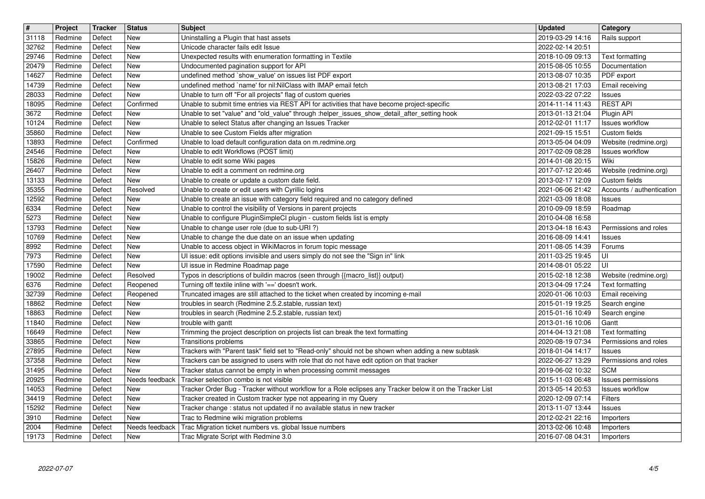| $\sqrt{\frac{4}{15}}$ | Project            | Tracker          | <b>Status</b>            | <b>Subject</b>                                                                                                                                                                | <b>Updated</b>                       | Category                                   |
|-----------------------|--------------------|------------------|--------------------------|-------------------------------------------------------------------------------------------------------------------------------------------------------------------------------|--------------------------------------|--------------------------------------------|
| 31118<br>32762        | Redmine<br>Redmine | Defect<br>Defect | New<br><b>New</b>        | Uninstalling a Plugin that hast assets<br>Unicode character fails edit Issue                                                                                                  | 2019-03-29 14:16<br>2022-02-14 20:51 | Rails support                              |
| 29746                 | Redmine            | Defect           | New                      | Unexpected results with enumeration formatting in Textile                                                                                                                     | 2018-10-09 09:13                     | Text formatting                            |
| 20479<br>14627        | Redmine<br>Redmine | Defect<br>Defect | <b>New</b><br>New        | Undocumented pagination support for API<br>undefined method `show_value' on issues list PDF export                                                                            | 2015-08-05 10:55<br>2013-08-07 10:35 | Documentation<br>PDF export                |
| 14739                 | Redmine            | Defect           | <b>New</b>               | undefined method `name' for nil:NilClass with IMAP email fetch                                                                                                                | 2013-08-21 17:03                     | Email receiving                            |
| 28033<br>18095        | Redmine<br>Redmine | Defect<br>Defect | <b>New</b><br>Confirmed  | Unable to turn off "For all projects" flag of custom queries<br>Unable to submit time entries via REST API for activities that have become project-specific                   | 2022-03-22 07:22<br>2014-11-14 11:43 | <b>Issues</b><br><b>REST API</b>           |
| 3672                  | Redmine            | Defect           | <b>New</b>               | Unable to set "value" and "old_value" through :helper_issues_show_detail_after_setting hook                                                                                   | 2013-01-13 21:04                     | Plugin API                                 |
| 10124<br>35860        | Redmine<br>Redmine | Defect<br>Defect | <b>New</b><br><b>New</b> | Unable to select Status after changing an Issues Tracker<br>Unable to see Custom Fields after migration                                                                       | 2012-02-01 11:17<br>2021-09-15 15:51 | <b>Issues workflow</b><br>Custom fields    |
| 13893                 | Redmine            | Defect           | Confirmed                | Unable to load default configuration data on m.redmine.org                                                                                                                    | 2013-05-04 04:09                     | Website (redmine.org)                      |
| 24546<br>15826        | Redmine<br>Redmine | Defect<br>Defect | <b>New</b><br>New        | Unable to edit Workflows (POST limit)<br>Unable to edit some Wiki pages                                                                                                       | 2017-02-09 08:28<br>2014-01-08 20:15 | <b>Issues workflow</b><br>Wiki             |
| 26407                 | Redmine            | Defect           | New                      | Unable to edit a comment on redmine.org                                                                                                                                       | 2017-07-12 20:46                     | Website (redmine.org)                      |
| 13133<br>35355        | Redmine<br>Redmine | Defect<br>Defect | New<br>Resolved          | Unable to create or update a custom date field.<br>Unable to create or edit users with Cyrillic logins                                                                        | 2013-02-17 12:09<br>2021-06-06 21:42 | Custom fields<br>Accounts / authentication |
| 12592                 | Redmine            | Defect           | <b>New</b>               | Unable to create an issue with category field required and no category defined                                                                                                | 2021-03-09 18:08                     | Issues                                     |
| 6334<br>5273          | Redmine<br>Redmine | Defect<br>Defect | <b>New</b><br><b>New</b> | Unable to control the visibility of Versions in parent projects<br>Unable to configure PluginSimpleCI plugin - custom fields list is empty                                    | 2010-09-09 18:59<br>2010-04-08 16:58 | Roadmap                                    |
| 13793                 | Redmine            | Defect           | New                      | Unable to change user role (due to sub-URI?)                                                                                                                                  | 2013-04-18 16:43                     | Permissions and roles                      |
| 10769<br>8992         | Redmine<br>Redmine | Defect<br>Defect | <b>New</b><br><b>New</b> | Unable to change the due date on an issue when updating<br>Unable to access object in WikiMacros in forum topic message                                                       | 2016-08-09 14:41<br>2011-08-05 14:39 | <b>Issues</b><br>Forums                    |
| 7973                  | Redmine            | Defect           | New                      | UI issue: edit options invisible and users simply do not see the "Sign in" link                                                                                               | 2011-03-25 19:45                     | UI                                         |
| 17590<br>19002        | Redmine            | Defect           | New<br>Resolved          | Ul issue in Redmine Roadmap page                                                                                                                                              | 2014-08-01 05:22                     | UI                                         |
| 6376                  | Redmine<br>Redmine | Defect<br>Defect | Reopened                 | Typos in descriptions of buildin macros (seen through {{macro_list}} output)<br>Turning off textile inline with '==' doesn't work.                                            | 2015-02-18 12:38<br>2013-04-09 17:24 | Website (redmine.org)<br>Text formatting   |
| 32739                 | Redmine            | Defect           | Reopened                 | Truncated images are still attached to the ticket when created by incoming e-mail                                                                                             | 2020-01-06 10:03                     | Email receiving                            |
| 18862<br>18863        | Redmine<br>Redmine | Defect<br>Defect | <b>New</b><br><b>New</b> | troubles in search (Redmine 2.5.2.stable, russian text)<br>troubles in search (Redmine 2.5.2.stable, russian text)                                                            | 2015-01-19 19:25<br>2015-01-16 10:49 | Search engine<br>Search engine             |
| 11840                 | Redmine            | Defect           | <b>New</b>               | trouble with gantt                                                                                                                                                            | 2013-01-16 10:06                     | Gantt                                      |
| 16649<br>33865        | Redmine<br>Redmine | Defect<br>Defect | <b>New</b><br>New        | Trimming the project description on projects list can break the text formatting<br>Transitions problems                                                                       | 2014-04-13 21:08<br>2020-08-19 07:34 | Text formatting<br>Permissions and roles   |
| 27895                 | Redmine            | Defect           | <b>New</b>               | Trackers with "Parent task" field set to "Read-only" should not be shown when adding a new subtask                                                                            | 2018-01-04 14:17                     | <b>Issues</b>                              |
| 37358<br>31495        | Redmine<br>Redmine | Defect<br>Defect | New<br>New               | Trackers can be assigned to users with role that do not have edit option on that tracker<br>Tracker status cannot be empty in when processing commit messages                 | 2022-06-27 13:29<br>2019-06-02 10:32 | Permissions and roles<br><b>SCM</b>        |
| 20925                 | Redmine            | Defect           | Needs feedback           | Tracker selection combo is not visible                                                                                                                                        | 2015-11-03 06:48                     | Issues permissions                         |
| 14053<br>$34419$      | Redmine<br>Redmine | Defect<br>Defect | New<br>New               | Tracker Order Bug - Tracker without workflow for a Role eclipses any Tracker below it on the Tracker List<br>Tracker created in Custom tracker type not appearing in my Query | 2013-05-14 20:53<br>2020-12-09 07:14 | <b>Issues workflow</b><br>Filters          |
| 15292                 | Redmine            | Defect           | <b>New</b>               | Tracker change : status not updated if no available status in new tracker                                                                                                     | 2013-11-07 13:44                     | <b>Issues</b>                              |
| 3910<br>2004          | Redmine<br>Redmine | Defect<br>Defect | New<br>Needs feedback    | Trac to Redmine wiki migration problems<br>Trac Migration ticket numbers vs. global Issue numbers                                                                             | 2012-02-21 22:16<br>2013-02-06 10:48 | Importers<br>Importers                     |
| 19173                 | Redmine            | Defect           | New                      | Trac Migrate Script with Redmine 3.0                                                                                                                                          | 2016-07-08 04:31                     | Importers                                  |
|                       | 2022-07-07         |                  |                          |                                                                                                                                                                               |                                      |                                            |
|                       |                    |                  |                          |                                                                                                                                                                               |                                      |                                            |
|                       |                    |                  |                          |                                                                                                                                                                               |                                      |                                            |
|                       |                    |                  |                          |                                                                                                                                                                               |                                      |                                            |
|                       |                    |                  |                          |                                                                                                                                                                               |                                      |                                            |
|                       |                    |                  |                          |                                                                                                                                                                               |                                      |                                            |
|                       |                    |                  |                          |                                                                                                                                                                               |                                      |                                            |
|                       |                    |                  |                          |                                                                                                                                                                               |                                      |                                            |
|                       |                    |                  |                          |                                                                                                                                                                               |                                      |                                            |
|                       |                    |                  |                          |                                                                                                                                                                               |                                      |                                            |
|                       |                    |                  |                          |                                                                                                                                                                               |                                      |                                            |
|                       |                    |                  |                          |                                                                                                                                                                               |                                      |                                            |
|                       |                    |                  |                          |                                                                                                                                                                               |                                      |                                            |
|                       |                    |                  |                          |                                                                                                                                                                               |                                      |                                            |
|                       |                    |                  |                          |                                                                                                                                                                               |                                      |                                            |
|                       |                    |                  |                          |                                                                                                                                                                               |                                      |                                            |
|                       |                    |                  |                          |                                                                                                                                                                               |                                      |                                            |
|                       |                    |                  |                          |                                                                                                                                                                               |                                      |                                            |
|                       |                    |                  |                          |                                                                                                                                                                               |                                      |                                            |
|                       |                    |                  |                          |                                                                                                                                                                               |                                      |                                            |
|                       |                    |                  |                          |                                                                                                                                                                               |                                      |                                            |
|                       |                    |                  |                          |                                                                                                                                                                               |                                      |                                            |
|                       |                    |                  |                          |                                                                                                                                                                               |                                      |                                            |
|                       |                    |                  |                          |                                                                                                                                                                               |                                      |                                            |
|                       |                    |                  |                          |                                                                                                                                                                               |                                      |                                            |
|                       |                    |                  |                          |                                                                                                                                                                               |                                      |                                            |
|                       |                    |                  |                          |                                                                                                                                                                               |                                      |                                            |
|                       |                    |                  |                          |                                                                                                                                                                               |                                      |                                            |
|                       |                    |                  |                          |                                                                                                                                                                               |                                      |                                            |
|                       |                    |                  |                          |                                                                                                                                                                               |                                      |                                            |
|                       |                    |                  |                          |                                                                                                                                                                               |                                      |                                            |
|                       |                    |                  |                          |                                                                                                                                                                               |                                      |                                            |
|                       |                    |                  |                          |                                                                                                                                                                               |                                      |                                            |
|                       |                    |                  |                          |                                                                                                                                                                               |                                      |                                            |
|                       |                    |                  |                          |                                                                                                                                                                               |                                      |                                            |